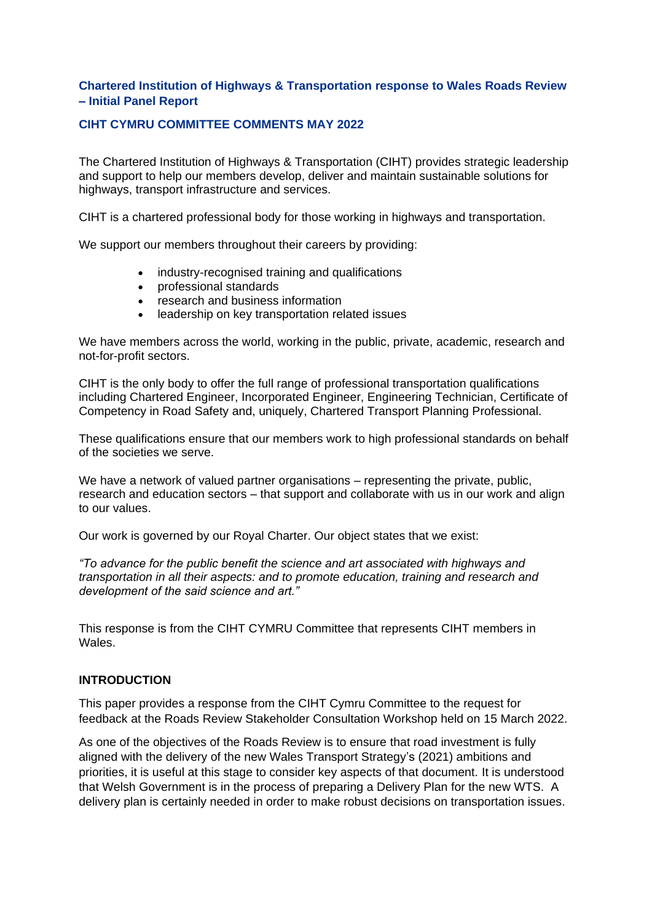## **Chartered Institution of Highways & Transportation response to Wales Roads Review – Initial Panel Report**

### **CIHT CYMRU COMMITTEE COMMENTS MAY 2022**

The Chartered Institution of Highways & Transportation (CIHT) provides strategic leadership and support to help our members develop, deliver and maintain sustainable solutions for highways, transport infrastructure and services.

CIHT is a chartered professional body for those working in highways and transportation.

We support our members throughout their careers by providing:

- industry-recognised training and qualifications
- professional standards
- research and business information
- leadership on key transportation related issues

We have members across the world, working in the public, private, academic, research and not-for-profit sectors.

CIHT is the only body to offer the full range of professional transportation qualifications including Chartered Engineer, Incorporated Engineer, Engineering Technician, Certificate of Competency in Road Safety and, uniquely, Chartered Transport Planning Professional.

These qualifications ensure that our members work to high professional standards on behalf of the societies we serve.

We have a network of valued partner organisations – representing the private, public, research and education sectors – that support and collaborate with us in our work and align to our values.

Our work is governed by our Royal Charter. Our object states that we exist:

*"To advance for the public benefit the science and art associated with highways and transportation in all their aspects: and to promote education, training and research and development of the said science and art."*

This response is from the CIHT CYMRU Committee that represents CIHT members in Wales.

### **INTRODUCTION**

This paper provides a response from the CIHT Cymru Committee to the request for feedback at the Roads Review Stakeholder Consultation Workshop held on 15 March 2022.

As one of the objectives of the Roads Review is to ensure that road investment is fully aligned with the delivery of the new Wales Transport Strategy's (2021) ambitions and priorities, it is useful at this stage to consider key aspects of that document. It is understood that Welsh Government is in the process of preparing a Delivery Plan for the new WTS. A delivery plan is certainly needed in order to make robust decisions on transportation issues.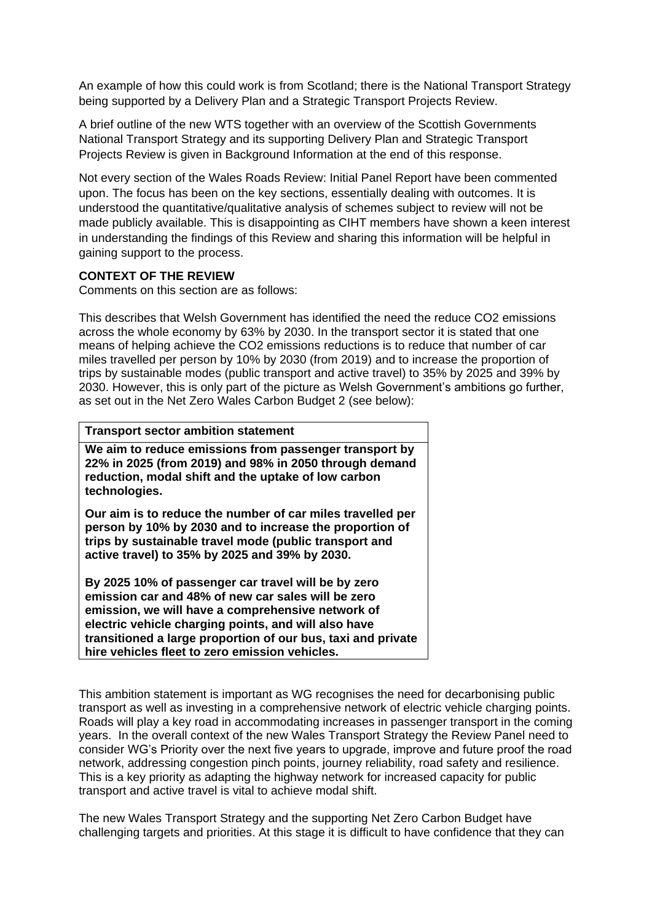An example of how this could work is from Scotland; there is the National Transport Strategy being supported by a Delivery Plan and a Strategic Transport Projects Review.

A brief outline of the new WTS together with an overview of the Scottish Governments National Transport Strategy and its supporting Delivery Plan and Strategic Transport Projects Review is given in Background Information at the end of this response.

Not every section of the Wales Roads Review: Initial Panel Report have been commented upon. The focus has been on the key sections, essentially dealing with outcomes. It is understood the quantitative/qualitative analysis of schemes subject to review will not be made publicly available. This is disappointing as CIHT members have shown a keen interest in understanding the findings of this Review and sharing this information will be helpful in gaining support to the process.

## **CONTEXT OF THE REVIEW**

Comments on this section are as follows:

This describes that Welsh Government has identified the need the reduce CO2 emissions across the whole economy by 63% by 2030. In the transport sector it is stated that one means of helping achieve the CO2 emissions reductions is to reduce that number of car miles travelled per person by 10% by 2030 (from 2019) and to increase the proportion of trips by sustainable modes (public transport and active travel) to 35% by 2025 and 39% by 2030. However, this is only part of the picture as Welsh Government's ambitions go further, as set out in the Net Zero Wales Carbon Budget 2 (see below):

#### **Transport sector ambition statement**

**We aim to reduce emissions from passenger transport by 22% in 2025 (from 2019) and 98% in 2050 through demand reduction, modal shift and the uptake of low carbon technologies.** 

**Our aim is to reduce the number of car miles travelled per person by 10% by 2030 and to increase the proportion of trips by sustainable travel mode (public transport and active travel) to 35% by 2025 and 39% by 2030.** 

**By 2025 10% of passenger car travel will be by zero emission car and 48% of new car sales will be zero emission, we will have a comprehensive network of electric vehicle charging points, and will also have transitioned a large proportion of our bus, taxi and private hire vehicles fleet to zero emission vehicles.** 

This ambition statement is important as WG recognises the need for decarbonising public transport as well as investing in a comprehensive network of electric vehicle charging points. Roads will play a key road in accommodating increases in passenger transport in the coming years. In the overall context of the new Wales Transport Strategy the Review Panel need to consider WG's Priority over the next five years to upgrade, improve and future proof the road network, addressing congestion pinch points, journey reliability, road safety and resilience. This is a key priority as adapting the highway network for increased capacity for public transport and active travel is vital to achieve modal shift.

The new Wales Transport Strategy and the supporting Net Zero Carbon Budget have challenging targets and priorities. At this stage it is difficult to have confidence that they can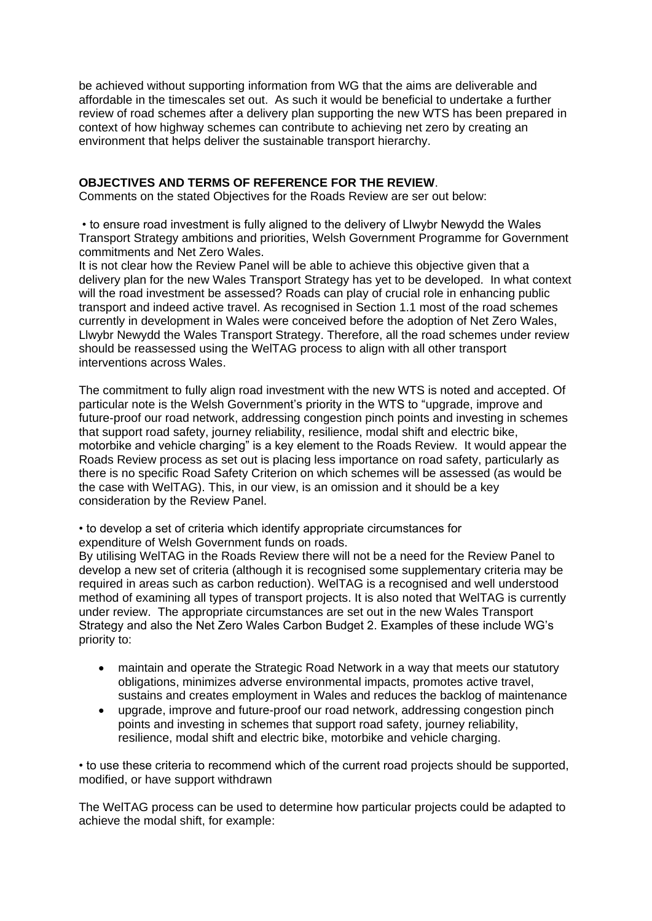be achieved without supporting information from WG that the aims are deliverable and affordable in the timescales set out. As such it would be beneficial to undertake a further review of road schemes after a delivery plan supporting the new WTS has been prepared in context of how highway schemes can contribute to achieving net zero by creating an environment that helps deliver the sustainable transport hierarchy.

### **OBJECTIVES AND TERMS OF REFERENCE FOR THE REVIEW**.

Comments on the stated Objectives for the Roads Review are ser out below:

• to ensure road investment is fully aligned to the delivery of Llwybr Newydd the Wales Transport Strategy ambitions and priorities, Welsh Government Programme for Government commitments and Net Zero Wales.

It is not clear how the Review Panel will be able to achieve this objective given that a delivery plan for the new Wales Transport Strategy has yet to be developed. In what context will the road investment be assessed? Roads can play of crucial role in enhancing public transport and indeed active travel. As recognised in Section 1.1 most of the road schemes currently in development in Wales were conceived before the adoption of Net Zero Wales, Llwybr Newydd the Wales Transport Strategy. Therefore, all the road schemes under review should be reassessed using the WelTAG process to align with all other transport interventions across Wales.

The commitment to fully align road investment with the new WTS is noted and accepted. Of particular note is the Welsh Government's priority in the WTS to "upgrade, improve and future-proof our road network, addressing congestion pinch points and investing in schemes that support road safety, journey reliability, resilience, modal shift and electric bike, motorbike and vehicle charging" is a key element to the Roads Review. It would appear the Roads Review process as set out is placing less importance on road safety, particularly as there is no specific Road Safety Criterion on which schemes will be assessed (as would be the case with WelTAG). This, in our view, is an omission and it should be a key consideration by the Review Panel.

• to develop a set of criteria which identify appropriate circumstances for expenditure of Welsh Government funds on roads.

By utilising WelTAG in the Roads Review there will not be a need for the Review Panel to develop a new set of criteria (although it is recognised some supplementary criteria may be required in areas such as carbon reduction). WelTAG is a recognised and well understood method of examining all types of transport projects. It is also noted that WelTAG is currently under review. The appropriate circumstances are set out in the new Wales Transport Strategy and also the Net Zero Wales Carbon Budget 2. Examples of these include WG's priority to:

- maintain and operate the Strategic Road Network in a way that meets our statutory obligations, minimizes adverse environmental impacts, promotes active travel, sustains and creates employment in Wales and reduces the backlog of maintenance
- upgrade, improve and future-proof our road network, addressing congestion pinch points and investing in schemes that support road safety, journey reliability, resilience, modal shift and electric bike, motorbike and vehicle charging.

• to use these criteria to recommend which of the current road projects should be supported, modified, or have support withdrawn

The WelTAG process can be used to determine how particular projects could be adapted to achieve the modal shift, for example: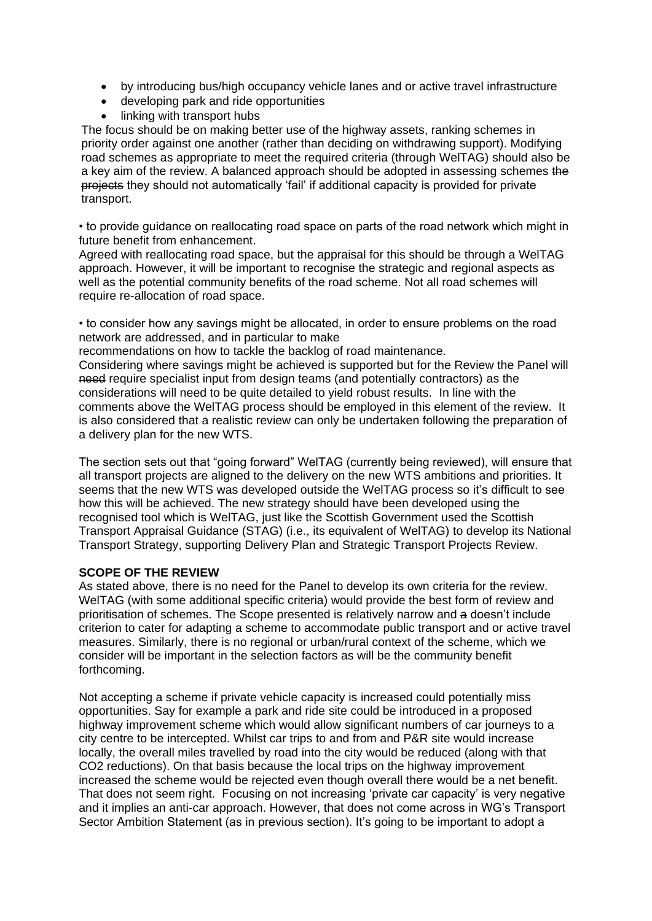- by introducing bus/high occupancy vehicle lanes and or active travel infrastructure
- developing park and ride opportunities
- linking with transport hubs

The focus should be on making better use of the highway assets, ranking schemes in priority order against one another (rather than deciding on withdrawing support). Modifying road schemes as appropriate to meet the required criteria (through WelTAG) should also be a key aim of the review. A balanced approach should be adopted in assessing schemes the projects they should not automatically 'fail' if additional capacity is provided for private transport.

• to provide guidance on reallocating road space on parts of the road network which might in future benefit from enhancement.

Agreed with reallocating road space, but the appraisal for this should be through a WelTAG approach. However, it will be important to recognise the strategic and regional aspects as well as the potential community benefits of the road scheme. Not all road schemes will require re-allocation of road space.

• to consider how any savings might be allocated, in order to ensure problems on the road network are addressed, and in particular to make

recommendations on how to tackle the backlog of road maintenance.

Considering where savings might be achieved is supported but for the Review the Panel will need require specialist input from design teams (and potentially contractors) as the considerations will need to be quite detailed to yield robust results. In line with the comments above the WelTAG process should be employed in this element of the review. It is also considered that a realistic review can only be undertaken following the preparation of a delivery plan for the new WTS.

The section sets out that "going forward" WelTAG (currently being reviewed), will ensure that all transport projects are aligned to the delivery on the new WTS ambitions and priorities. It seems that the new WTS was developed outside the WelTAG process so it's difficult to see how this will be achieved. The new strategy should have been developed using the recognised tool which is WelTAG, just like the Scottish Government used the Scottish Transport Appraisal Guidance (STAG) (i.e., its equivalent of WelTAG) to develop its National Transport Strategy, supporting Delivery Plan and Strategic Transport Projects Review.

## **SCOPE OF THE REVIEW**

As stated above, there is no need for the Panel to develop its own criteria for the review. WelTAG (with some additional specific criteria) would provide the best form of review and prioritisation of schemes. The Scope presented is relatively narrow and a doesn't include criterion to cater for adapting a scheme to accommodate public transport and or active travel measures. Similarly, there is no regional or urban/rural context of the scheme, which we consider will be important in the selection factors as will be the community benefit forthcoming.

Not accepting a scheme if private vehicle capacity is increased could potentially miss opportunities. Say for example a park and ride site could be introduced in a proposed highway improvement scheme which would allow significant numbers of car journeys to a city centre to be intercepted. Whilst car trips to and from and P&R site would increase locally, the overall miles travelled by road into the city would be reduced (along with that CO2 reductions). On that basis because the local trips on the highway improvement increased the scheme would be rejected even though overall there would be a net benefit. That does not seem right. Focusing on not increasing 'private car capacity' is very negative and it implies an anti-car approach. However, that does not come across in WG's Transport Sector Ambition Statement (as in previous section). It's going to be important to adopt a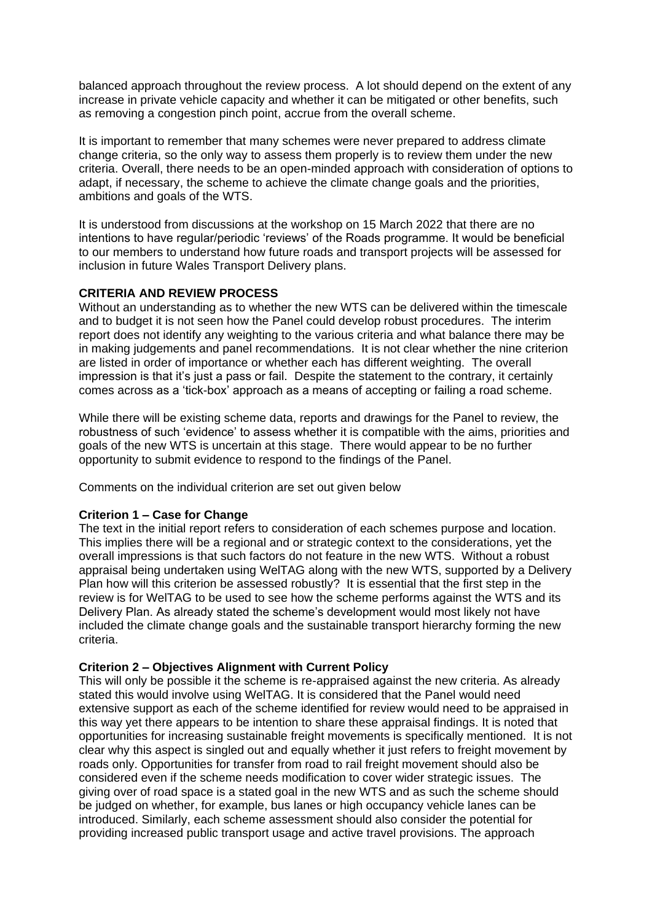balanced approach throughout the review process. A lot should depend on the extent of any increase in private vehicle capacity and whether it can be mitigated or other benefits, such as removing a congestion pinch point, accrue from the overall scheme.

It is important to remember that many schemes were never prepared to address climate change criteria, so the only way to assess them properly is to review them under the new criteria. Overall, there needs to be an open-minded approach with consideration of options to adapt, if necessary, the scheme to achieve the climate change goals and the priorities, ambitions and goals of the WTS.

It is understood from discussions at the workshop on 15 March 2022 that there are no intentions to have regular/periodic 'reviews' of the Roads programme. It would be beneficial to our members to understand how future roads and transport projects will be assessed for inclusion in future Wales Transport Delivery plans.

# **CRITERIA AND REVIEW PROCESS**

Without an understanding as to whether the new WTS can be delivered within the timescale and to budget it is not seen how the Panel could develop robust procedures. The interim report does not identify any weighting to the various criteria and what balance there may be in making judgements and panel recommendations. It is not clear whether the nine criterion are listed in order of importance or whether each has different weighting. The overall impression is that it's just a pass or fail. Despite the statement to the contrary, it certainly comes across as a 'tick-box' approach as a means of accepting or failing a road scheme.

While there will be existing scheme data, reports and drawings for the Panel to review, the robustness of such 'evidence' to assess whether it is compatible with the aims, priorities and goals of the new WTS is uncertain at this stage. There would appear to be no further opportunity to submit evidence to respond to the findings of the Panel.

Comments on the individual criterion are set out given below

## **Criterion 1 – Case for Change**

The text in the initial report refers to consideration of each schemes purpose and location. This implies there will be a regional and or strategic context to the considerations, yet the overall impressions is that such factors do not feature in the new WTS. Without a robust appraisal being undertaken using WelTAG along with the new WTS, supported by a Delivery Plan how will this criterion be assessed robustly? It is essential that the first step in the review is for WelTAG to be used to see how the scheme performs against the WTS and its Delivery Plan. As already stated the scheme's development would most likely not have included the climate change goals and the sustainable transport hierarchy forming the new criteria.

#### **Criterion 2 – Objectives Alignment with Current Policy**

This will only be possible it the scheme is re-appraised against the new criteria. As already stated this would involve using WelTAG. It is considered that the Panel would need extensive support as each of the scheme identified for review would need to be appraised in this way yet there appears to be intention to share these appraisal findings. It is noted that opportunities for increasing sustainable freight movements is specifically mentioned. It is not clear why this aspect is singled out and equally whether it just refers to freight movement by roads only. Opportunities for transfer from road to rail freight movement should also be considered even if the scheme needs modification to cover wider strategic issues. The giving over of road space is a stated goal in the new WTS and as such the scheme should be judged on whether, for example, bus lanes or high occupancy vehicle lanes can be introduced. Similarly, each scheme assessment should also consider the potential for providing increased public transport usage and active travel provisions. The approach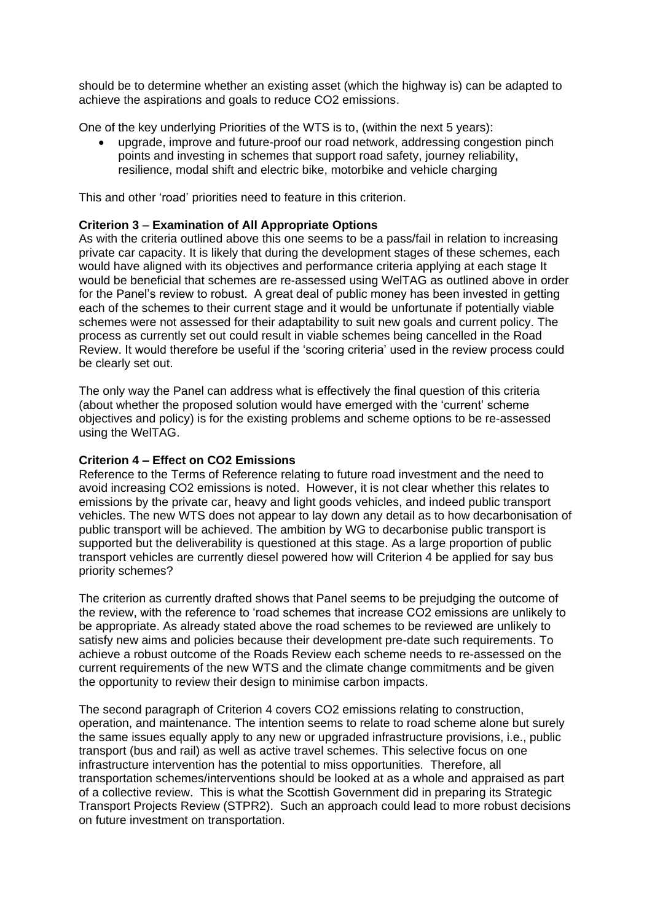should be to determine whether an existing asset (which the highway is) can be adapted to achieve the aspirations and goals to reduce CO2 emissions.

One of the key underlying Priorities of the WTS is to, (within the next 5 years):

• upgrade, improve and future-proof our road network, addressing congestion pinch points and investing in schemes that support road safety, journey reliability, resilience, modal shift and electric bike, motorbike and vehicle charging

This and other 'road' priorities need to feature in this criterion.

### **Criterion 3** – **Examination of All Appropriate Options**

As with the criteria outlined above this one seems to be a pass/fail in relation to increasing private car capacity. It is likely that during the development stages of these schemes, each would have aligned with its objectives and performance criteria applying at each stage It would be beneficial that schemes are re-assessed using WelTAG as outlined above in order for the Panel's review to robust. A great deal of public money has been invested in getting each of the schemes to their current stage and it would be unfortunate if potentially viable schemes were not assessed for their adaptability to suit new goals and current policy. The process as currently set out could result in viable schemes being cancelled in the Road Review. It would therefore be useful if the 'scoring criteria' used in the review process could be clearly set out.

The only way the Panel can address what is effectively the final question of this criteria (about whether the proposed solution would have emerged with the 'current' scheme objectives and policy) is for the existing problems and scheme options to be re-assessed using the WelTAG.

#### **Criterion 4 – Effect on CO2 Emissions**

Reference to the Terms of Reference relating to future road investment and the need to avoid increasing CO2 emissions is noted. However, it is not clear whether this relates to emissions by the private car, heavy and light goods vehicles, and indeed public transport vehicles. The new WTS does not appear to lay down any detail as to how decarbonisation of public transport will be achieved. The ambition by WG to decarbonise public transport is supported but the deliverability is questioned at this stage. As a large proportion of public transport vehicles are currently diesel powered how will Criterion 4 be applied for say bus priority schemes?

The criterion as currently drafted shows that Panel seems to be prejudging the outcome of the review, with the reference to 'road schemes that increase CO2 emissions are unlikely to be appropriate. As already stated above the road schemes to be reviewed are unlikely to satisfy new aims and policies because their development pre-date such requirements. To achieve a robust outcome of the Roads Review each scheme needs to re-assessed on the current requirements of the new WTS and the climate change commitments and be given the opportunity to review their design to minimise carbon impacts.

The second paragraph of Criterion 4 covers CO2 emissions relating to construction, operation, and maintenance. The intention seems to relate to road scheme alone but surely the same issues equally apply to any new or upgraded infrastructure provisions, i.e., public transport (bus and rail) as well as active travel schemes. This selective focus on one infrastructure intervention has the potential to miss opportunities. Therefore, all transportation schemes/interventions should be looked at as a whole and appraised as part of a collective review. This is what the Scottish Government did in preparing its Strategic Transport Projects Review (STPR2). Such an approach could lead to more robust decisions on future investment on transportation.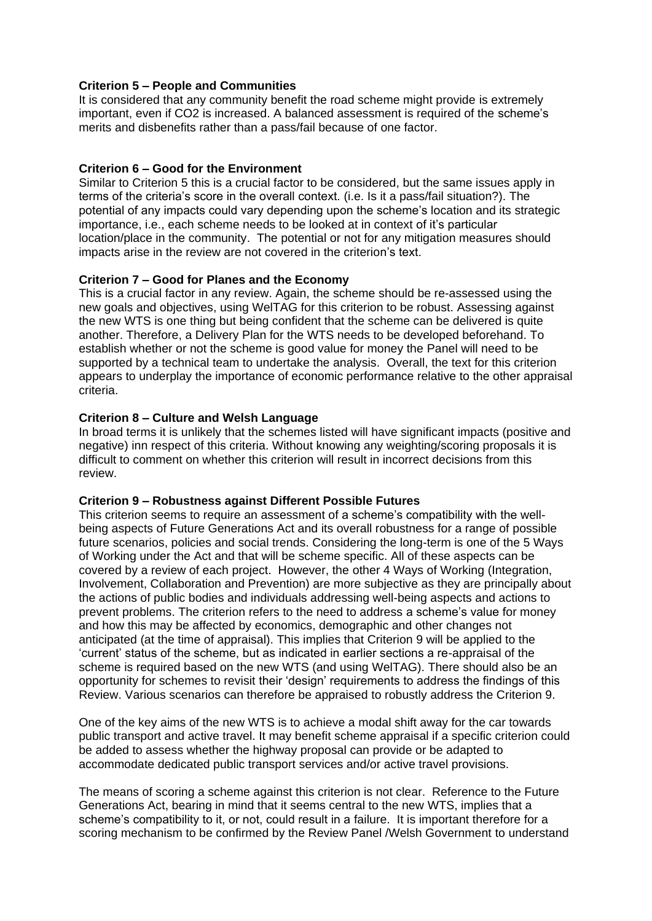### **Criterion 5 – People and Communities**

It is considered that any community benefit the road scheme might provide is extremely important, even if CO2 is increased. A balanced assessment is required of the scheme's merits and disbenefits rather than a pass/fail because of one factor.

#### **Criterion 6 – Good for the Environment**

Similar to Criterion 5 this is a crucial factor to be considered, but the same issues apply in terms of the criteria's score in the overall context. (i.e. Is it a pass/fail situation?). The potential of any impacts could vary depending upon the scheme's location and its strategic importance, i.e., each scheme needs to be looked at in context of it's particular location/place in the community. The potential or not for any mitigation measures should impacts arise in the review are not covered in the criterion's text.

#### **Criterion 7 – Good for Planes and the Economy**

This is a crucial factor in any review. Again, the scheme should be re-assessed using the new goals and objectives, using WelTAG for this criterion to be robust. Assessing against the new WTS is one thing but being confident that the scheme can be delivered is quite another. Therefore, a Delivery Plan for the WTS needs to be developed beforehand. To establish whether or not the scheme is good value for money the Panel will need to be supported by a technical team to undertake the analysis. Overall, the text for this criterion appears to underplay the importance of economic performance relative to the other appraisal criteria.

#### **Criterion 8 – Culture and Welsh Language**

In broad terms it is unlikely that the schemes listed will have significant impacts (positive and negative) inn respect of this criteria. Without knowing any weighting/scoring proposals it is difficult to comment on whether this criterion will result in incorrect decisions from this review.

#### **Criterion 9 – Robustness against Different Possible Futures**

This criterion seems to require an assessment of a scheme's compatibility with the wellbeing aspects of Future Generations Act and its overall robustness for a range of possible future scenarios, policies and social trends. Considering the long-term is one of the 5 Ways of Working under the Act and that will be scheme specific. All of these aspects can be covered by a review of each project. However, the other 4 Ways of Working (Integration, Involvement, Collaboration and Prevention) are more subjective as they are principally about the actions of public bodies and individuals addressing well-being aspects and actions to prevent problems. The criterion refers to the need to address a scheme's value for money and how this may be affected by economics, demographic and other changes not anticipated (at the time of appraisal). This implies that Criterion 9 will be applied to the 'current' status of the scheme, but as indicated in earlier sections a re-appraisal of the scheme is required based on the new WTS (and using WelTAG). There should also be an opportunity for schemes to revisit their 'design' requirements to address the findings of this Review. Various scenarios can therefore be appraised to robustly address the Criterion 9.

One of the key aims of the new WTS is to achieve a modal shift away for the car towards public transport and active travel. It may benefit scheme appraisal if a specific criterion could be added to assess whether the highway proposal can provide or be adapted to accommodate dedicated public transport services and/or active travel provisions.

The means of scoring a scheme against this criterion is not clear. Reference to the Future Generations Act, bearing in mind that it seems central to the new WTS, implies that a scheme's compatibility to it, or not, could result in a failure. It is important therefore for a scoring mechanism to be confirmed by the Review Panel /Welsh Government to understand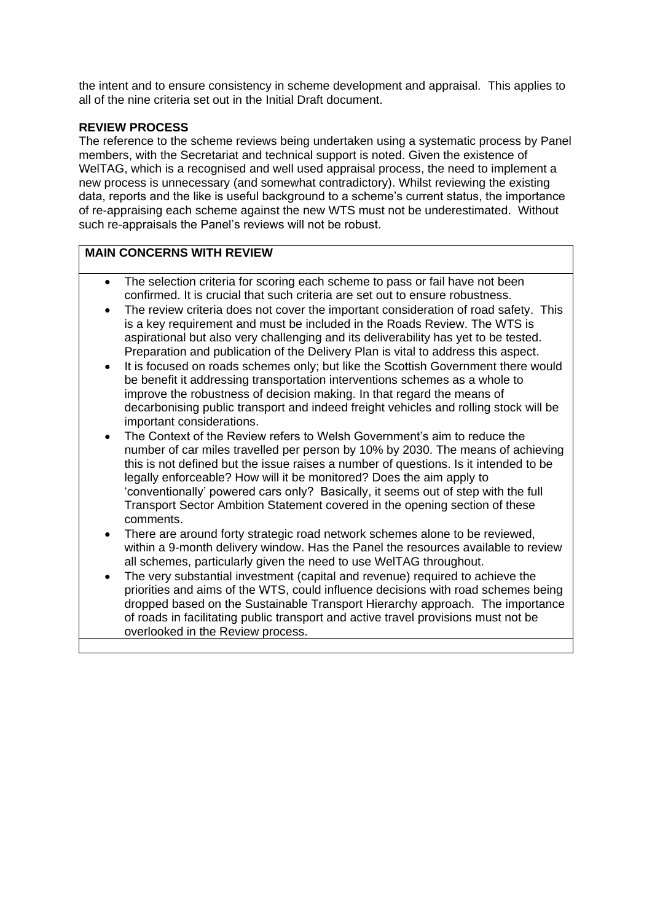the intent and to ensure consistency in scheme development and appraisal. This applies to all of the nine criteria set out in the Initial Draft document.

# **REVIEW PROCESS**

The reference to the scheme reviews being undertaken using a systematic process by Panel members, with the Secretariat and technical support is noted. Given the existence of WelTAG, which is a recognised and well used appraisal process, the need to implement a new process is unnecessary (and somewhat contradictory). Whilst reviewing the existing data, reports and the like is useful background to a scheme's current status, the importance of re-appraising each scheme against the new WTS must not be underestimated. Without such re-appraisals the Panel's reviews will not be robust.

# **MAIN CONCERNS WITH REVIEW**

- The selection criteria for scoring each scheme to pass or fail have not been confirmed. It is crucial that such criteria are set out to ensure robustness.
- The review criteria does not cover the important consideration of road safety. This is a key requirement and must be included in the Roads Review. The WTS is aspirational but also very challenging and its deliverability has yet to be tested. Preparation and publication of the Delivery Plan is vital to address this aspect.
- It is focused on roads schemes only; but like the Scottish Government there would be benefit it addressing transportation interventions schemes as a whole to improve the robustness of decision making. In that regard the means of decarbonising public transport and indeed freight vehicles and rolling stock will be important considerations.
- The Context of the Review refers to Welsh Government's aim to reduce the number of car miles travelled per person by 10% by 2030. The means of achieving this is not defined but the issue raises a number of questions. Is it intended to be legally enforceable? How will it be monitored? Does the aim apply to 'conventionally' powered cars only? Basically, it seems out of step with the full Transport Sector Ambition Statement covered in the opening section of these comments.
- There are around forty strategic road network schemes alone to be reviewed, within a 9-month delivery window. Has the Panel the resources available to review all schemes, particularly given the need to use WelTAG throughout.
- The very substantial investment (capital and revenue) required to achieve the priorities and aims of the WTS, could influence decisions with road schemes being dropped based on the Sustainable Transport Hierarchy approach. The importance of roads in facilitating public transport and active travel provisions must not be overlooked in the Review process.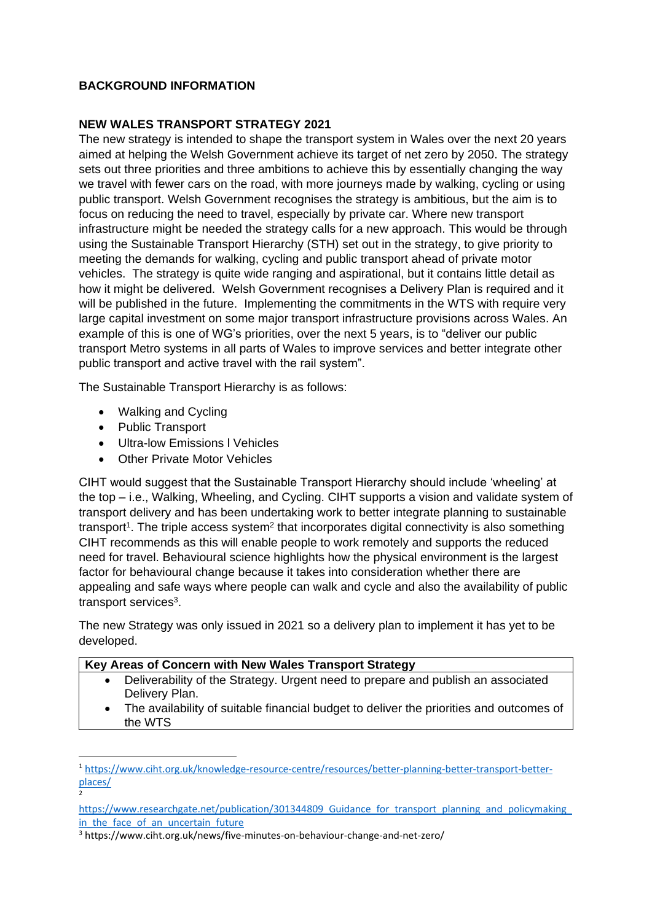# **BACKGROUND INFORMATION**

# **NEW WALES TRANSPORT STRATEGY 2021**

The new strategy is intended to shape the transport system in Wales over the next 20 years aimed at helping the Welsh Government achieve its target of net zero by 2050. The strategy sets out three priorities and three ambitions to achieve this by essentially changing the way we travel with fewer cars on the road, with more journeys made by walking, cycling or using public transport. Welsh Government recognises the strategy is ambitious, but the aim is to focus on reducing the need to travel, especially by private car. Where new transport infrastructure might be needed the strategy calls for a new approach. This would be through using the Sustainable Transport Hierarchy (STH) set out in the strategy, to give priority to meeting the demands for walking, cycling and public transport ahead of private motor vehicles. The strategy is quite wide ranging and aspirational, but it contains little detail as how it might be delivered. Welsh Government recognises a Delivery Plan is required and it will be published in the future. Implementing the commitments in the WTS with require very large capital investment on some major transport infrastructure provisions across Wales. An example of this is one of WG's priorities, over the next 5 years, is to "deliver our public transport Metro systems in all parts of Wales to improve services and better integrate other public transport and active travel with the rail system".

The Sustainable Transport Hierarchy is as follows:

- Walking and Cycling
- Public Transport

2

- Ultra-low Emissions l Vehicles
- Other Private Motor Vehicles

CIHT would suggest that the Sustainable Transport Hierarchy should include 'wheeling' at the top – i.e., Walking, Wheeling, and Cycling. CIHT supports a vision and validate system of transport delivery and has been undertaking work to better integrate planning to sustainable transport<sup>1</sup>. The triple access system<sup>2</sup> that incorporates digital connectivity is also something CIHT recommends as this will enable people to work remotely and supports the reduced need for travel. Behavioural science highlights how the physical environment is the largest factor for behavioural change because it takes into consideration whether there are appealing and safe ways where people can walk and cycle and also the availability of public transport services<sup>3</sup>.

The new Strategy was only issued in 2021 so a delivery plan to implement it has yet to be developed.

### **Key Areas of Concern with New Wales Transport Strategy**

- Deliverability of the Strategy. Urgent need to prepare and publish an associated Delivery Plan.
- The availability of suitable financial budget to deliver the priorities and outcomes of the WTS

<sup>1</sup> [https://www.ciht.org.uk/knowledge-resource-centre/resources/better-planning-better-transport-better](https://www.ciht.org.uk/knowledge-resource-centre/resources/better-planning-better-transport-better-places/)[places/](https://www.ciht.org.uk/knowledge-resource-centre/resources/better-planning-better-transport-better-places/)

https://www.researchgate.net/publication/301344809 Guidance for transport planning and policymaking in the face of an uncertain future

<sup>3</sup> https://www.ciht.org.uk/news/five-minutes-on-behaviour-change-and-net-zero/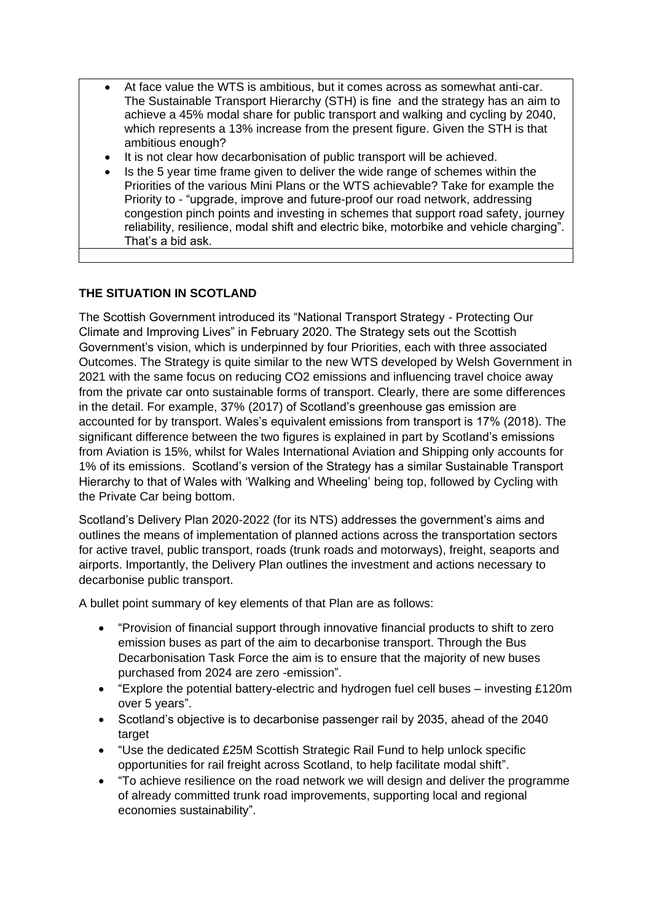- At face value the WTS is ambitious, but it comes across as somewhat anti-car. The Sustainable Transport Hierarchy (STH) is fine and the strategy has an aim to achieve a 45% modal share for public transport and walking and cycling by 2040, which represents a 13% increase from the present figure. Given the STH is that ambitious enough?
- It is not clear how decarbonisation of public transport will be achieved.
- Is the 5 year time frame given to deliver the wide range of schemes within the Priorities of the various Mini Plans or the WTS achievable? Take for example the Priority to - "upgrade, improve and future-proof our road network, addressing congestion pinch points and investing in schemes that support road safety, journey reliability, resilience, modal shift and electric bike, motorbike and vehicle charging". That's a bid ask.

# **THE SITUATION IN SCOTLAND**

The Scottish Government introduced its "National Transport Strategy - Protecting Our Climate and Improving Lives" in February 2020. The Strategy sets out the Scottish Government's vision, which is underpinned by four Priorities, each with three associated Outcomes. The Strategy is quite similar to the new WTS developed by Welsh Government in 2021 with the same focus on reducing CO2 emissions and influencing travel choice away from the private car onto sustainable forms of transport. Clearly, there are some differences in the detail. For example, 37% (2017) of Scotland's greenhouse gas emission are accounted for by transport. Wales's equivalent emissions from transport is 17% (2018). The significant difference between the two figures is explained in part by Scotland's emissions from Aviation is 15%, whilst for Wales International Aviation and Shipping only accounts for 1% of its emissions. Scotland's version of the Strategy has a similar Sustainable Transport Hierarchy to that of Wales with 'Walking and Wheeling' being top, followed by Cycling with the Private Car being bottom.

Scotland's Delivery Plan 2020-2022 (for its NTS) addresses the government's aims and outlines the means of implementation of planned actions across the transportation sectors for active travel, public transport, roads (trunk roads and motorways), freight, seaports and airports. Importantly, the Delivery Plan outlines the investment and actions necessary to decarbonise public transport.

A bullet point summary of key elements of that Plan are as follows:

- "Provision of financial support through innovative financial products to shift to zero emission buses as part of the aim to decarbonise transport. Through the Bus Decarbonisation Task Force the aim is to ensure that the majority of new buses purchased from 2024 are zero -emission".
- "Explore the potential battery-electric and hydrogen fuel cell buses investing £120m over 5 years".
- Scotland's objective is to decarbonise passenger rail by 2035, ahead of the 2040 target
- "Use the dedicated £25M Scottish Strategic Rail Fund to help unlock specific opportunities for rail freight across Scotland, to help facilitate modal shift".
- "To achieve resilience on the road network we will design and deliver the programme of already committed trunk road improvements, supporting local and regional economies sustainability".